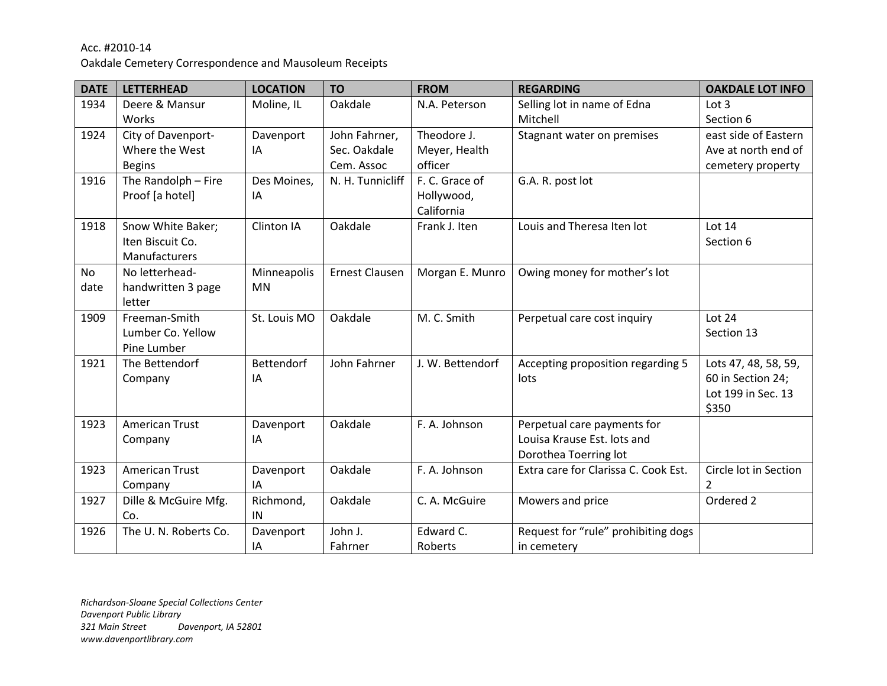Oakdale Cemetery Correspondence and Mausoleum Receipts

| <b>DATE</b> | <b>LETTERHEAD</b>     | <b>LOCATION</b>   | <b>TO</b>             | <b>FROM</b>      | <b>REGARDING</b>                     | <b>OAKDALE LOT INFO</b> |
|-------------|-----------------------|-------------------|-----------------------|------------------|--------------------------------------|-------------------------|
| 1934        | Deere & Mansur        | Moline, IL        | Oakdale               | N.A. Peterson    | Selling lot in name of Edna          | Lot <sub>3</sub>        |
|             | Works                 |                   |                       |                  | Mitchell                             | Section 6               |
| 1924        | City of Davenport-    | Davenport         | John Fahrner,         | Theodore J.      | Stagnant water on premises           | east side of Eastern    |
|             | Where the West        | IA                | Sec. Oakdale          | Meyer, Health    |                                      | Ave at north end of     |
|             | <b>Begins</b>         |                   | Cem. Assoc            | officer          |                                      | cemetery property       |
| 1916        | The Randolph - Fire   | Des Moines,       | N. H. Tunnicliff      | F. C. Grace of   | G.A. R. post lot                     |                         |
|             | Proof [a hotel]       | IA                |                       | Hollywood,       |                                      |                         |
|             |                       |                   |                       | California       |                                      |                         |
| 1918        | Snow White Baker;     | Clinton IA        | Oakdale               | Frank J. Iten    | Louis and Theresa Iten lot           | Lot 14                  |
|             | Iten Biscuit Co.      |                   |                       |                  |                                      | Section 6               |
|             | Manufacturers         |                   |                       |                  |                                      |                         |
| No          | No letterhead-        | Minneapolis       | <b>Ernest Clausen</b> | Morgan E. Munro  | Owing money for mother's lot         |                         |
| date        | handwritten 3 page    | <b>MN</b>         |                       |                  |                                      |                         |
|             | letter                |                   |                       |                  |                                      |                         |
| 1909        | Freeman-Smith         | St. Louis MO      | Oakdale               | M. C. Smith      | Perpetual care cost inquiry          | Lot 24                  |
|             | Lumber Co. Yellow     |                   |                       |                  |                                      | Section 13              |
|             | Pine Lumber           |                   |                       |                  |                                      |                         |
| 1921        | The Bettendorf        | <b>Bettendorf</b> | John Fahrner          | J. W. Bettendorf | Accepting proposition regarding 5    | Lots 47, 48, 58, 59,    |
|             | Company               | IA                |                       |                  | lots                                 | 60 in Section 24;       |
|             |                       |                   |                       |                  |                                      | Lot 199 in Sec. 13      |
|             |                       |                   |                       |                  |                                      | \$350                   |
| 1923        | <b>American Trust</b> | Davenport         | Oakdale               | F. A. Johnson    | Perpetual care payments for          |                         |
|             | Company               | IA                |                       |                  | Louisa Krause Est. lots and          |                         |
|             |                       |                   |                       |                  | Dorothea Toerring lot                |                         |
| 1923        | <b>American Trust</b> | Davenport         | Oakdale               | F. A. Johnson    | Extra care for Clarissa C. Cook Est. | Circle lot in Section   |
|             | Company               | IA                |                       |                  |                                      | 2                       |
| 1927        | Dille & McGuire Mfg.  | Richmond,         | Oakdale               | C. A. McGuire    | Mowers and price                     | Ordered 2               |
|             | Co.                   | IN                |                       |                  |                                      |                         |
| 1926        | The U. N. Roberts Co. | Davenport         | John J.               | Edward C.        | Request for "rule" prohibiting dogs  |                         |
|             |                       | IA                | Fahrner               | Roberts          | in cemetery                          |                         |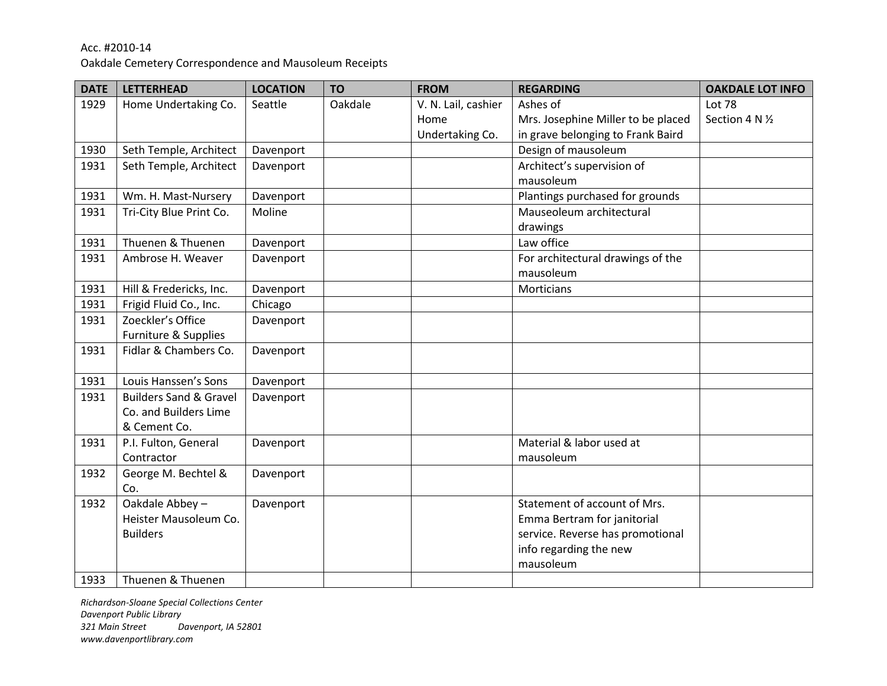Oakdale Cemetery Correspondence and Mausoleum Receipts

| <b>DATE</b> | <b>LETTERHEAD</b>                 | <b>LOCATION</b> | <b>TO</b> | <b>FROM</b>         | <b>REGARDING</b>                   | <b>OAKDALE LOT INFO</b> |
|-------------|-----------------------------------|-----------------|-----------|---------------------|------------------------------------|-------------------------|
| 1929        | Home Undertaking Co.              | Seattle         | Oakdale   | V. N. Lail, cashier | Ashes of                           | Lot 78                  |
|             |                                   |                 |           | Home                | Mrs. Josephine Miller to be placed | Section 4 N 1/2         |
|             |                                   |                 |           | Undertaking Co.     | in grave belonging to Frank Baird  |                         |
| 1930        | Seth Temple, Architect            | Davenport       |           |                     | Design of mausoleum                |                         |
| 1931        | Seth Temple, Architect            | Davenport       |           |                     | Architect's supervision of         |                         |
|             |                                   |                 |           |                     | mausoleum                          |                         |
| 1931        | Wm. H. Mast-Nursery               | Davenport       |           |                     | Plantings purchased for grounds    |                         |
| 1931        | Tri-City Blue Print Co.           | Moline          |           |                     | Mauseoleum architectural           |                         |
|             |                                   |                 |           |                     | drawings                           |                         |
| 1931        | Thuenen & Thuenen                 | Davenport       |           |                     | Law office                         |                         |
| 1931        | Ambrose H. Weaver                 | Davenport       |           |                     | For architectural drawings of the  |                         |
|             |                                   |                 |           |                     | mausoleum                          |                         |
| 1931        | Hill & Fredericks, Inc.           | Davenport       |           |                     | Morticians                         |                         |
| 1931        | Frigid Fluid Co., Inc.            | Chicago         |           |                     |                                    |                         |
| 1931        | Zoeckler's Office                 | Davenport       |           |                     |                                    |                         |
|             | Furniture & Supplies              |                 |           |                     |                                    |                         |
| 1931        | Fidlar & Chambers Co.             | Davenport       |           |                     |                                    |                         |
|             |                                   |                 |           |                     |                                    |                         |
| 1931        | Louis Hanssen's Sons              | Davenport       |           |                     |                                    |                         |
| 1931        | <b>Builders Sand &amp; Gravel</b> | Davenport       |           |                     |                                    |                         |
|             | Co. and Builders Lime             |                 |           |                     |                                    |                         |
|             | & Cement Co.                      |                 |           |                     |                                    |                         |
| 1931        | P.I. Fulton, General              | Davenport       |           |                     | Material & labor used at           |                         |
|             | Contractor                        |                 |           |                     | mausoleum                          |                         |
| 1932        | George M. Bechtel &               | Davenport       |           |                     |                                    |                         |
|             | Co.                               |                 |           |                     |                                    |                         |
| 1932        | Oakdale Abbey-                    | Davenport       |           |                     | Statement of account of Mrs.       |                         |
|             | Heister Mausoleum Co.             |                 |           |                     | Emma Bertram for janitorial        |                         |
|             | <b>Builders</b>                   |                 |           |                     | service. Reverse has promotional   |                         |
|             |                                   |                 |           |                     | info regarding the new             |                         |
|             |                                   |                 |           |                     | mausoleum                          |                         |
| 1933        | Thuenen & Thuenen                 |                 |           |                     |                                    |                         |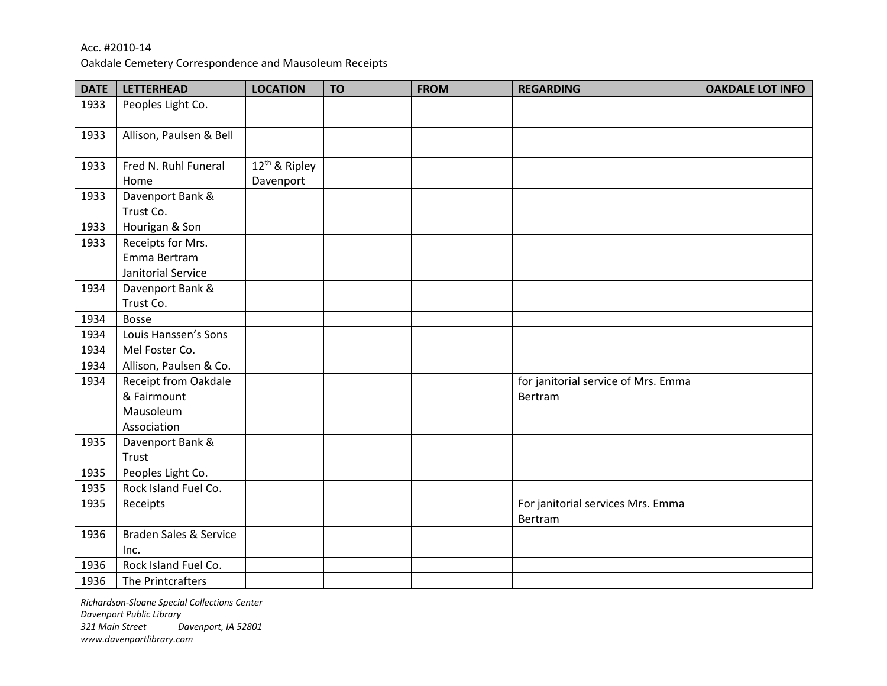Oakdale Cemetery Correspondence and Mausoleum Receipts

| <b>DATE</b> | <b>LETTERHEAD</b>           | <b>LOCATION</b>           | <b>TO</b> | <b>FROM</b> | <b>REGARDING</b>                    | <b>OAKDALE LOT INFO</b> |
|-------------|-----------------------------|---------------------------|-----------|-------------|-------------------------------------|-------------------------|
| 1933        | Peoples Light Co.           |                           |           |             |                                     |                         |
| 1933        | Allison, Paulsen & Bell     |                           |           |             |                                     |                         |
| 1933        | Fred N. Ruhl Funeral        | 12 <sup>th</sup> & Ripley |           |             |                                     |                         |
|             | Home                        | Davenport                 |           |             |                                     |                         |
| 1933        | Davenport Bank &            |                           |           |             |                                     |                         |
|             | Trust Co.                   |                           |           |             |                                     |                         |
| 1933        | Hourigan & Son              |                           |           |             |                                     |                         |
| 1933        | Receipts for Mrs.           |                           |           |             |                                     |                         |
|             | Emma Bertram                |                           |           |             |                                     |                         |
|             | Janitorial Service          |                           |           |             |                                     |                         |
| 1934        | Davenport Bank &            |                           |           |             |                                     |                         |
|             | Trust Co.                   |                           |           |             |                                     |                         |
| 1934        | <b>Bosse</b>                |                           |           |             |                                     |                         |
| 1934        | Louis Hanssen's Sons        |                           |           |             |                                     |                         |
| 1934        | Mel Foster Co.              |                           |           |             |                                     |                         |
| 1934        | Allison, Paulsen & Co.      |                           |           |             |                                     |                         |
| 1934        | <b>Receipt from Oakdale</b> |                           |           |             | for janitorial service of Mrs. Emma |                         |
|             | & Fairmount                 |                           |           |             | Bertram                             |                         |
|             | Mausoleum                   |                           |           |             |                                     |                         |
|             | Association                 |                           |           |             |                                     |                         |
| 1935        | Davenport Bank &            |                           |           |             |                                     |                         |
|             | Trust                       |                           |           |             |                                     |                         |
| 1935        | Peoples Light Co.           |                           |           |             |                                     |                         |
| 1935        | Rock Island Fuel Co.        |                           |           |             |                                     |                         |
| 1935        | Receipts                    |                           |           |             | For janitorial services Mrs. Emma   |                         |
|             |                             |                           |           |             | Bertram                             |                         |
| 1936        | Braden Sales & Service      |                           |           |             |                                     |                         |
|             | Inc.                        |                           |           |             |                                     |                         |
| 1936        | Rock Island Fuel Co.        |                           |           |             |                                     |                         |
| 1936        | The Printcrafters           |                           |           |             |                                     |                         |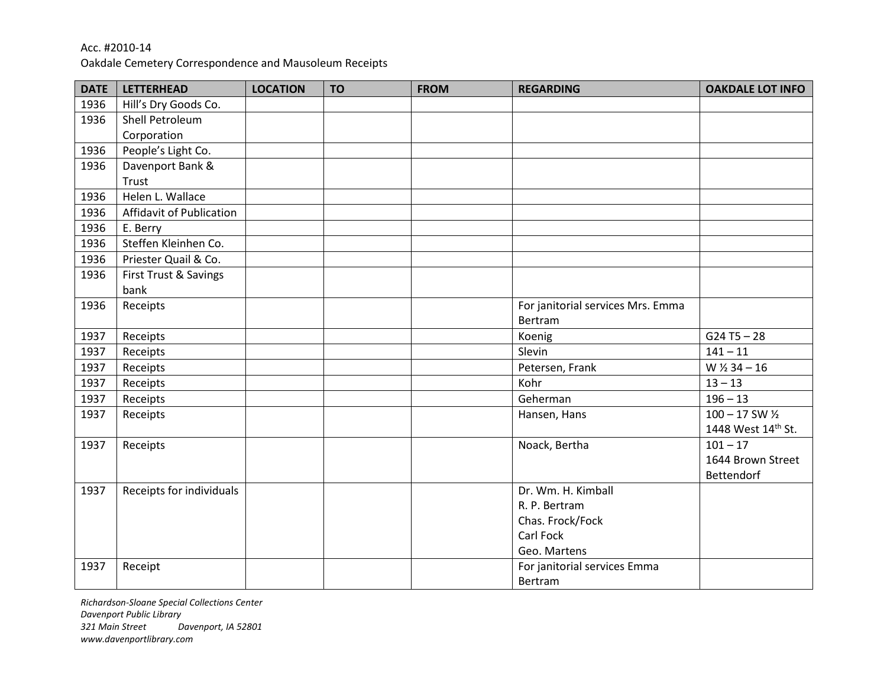Oakdale Cemetery Correspondence and Mausoleum Receipts

| <b>DATE</b> | <b>LETTERHEAD</b>        | <b>LOCATION</b> | <b>TO</b> | <b>FROM</b> | <b>REGARDING</b>                  | <b>OAKDALE LOT INFO</b>     |
|-------------|--------------------------|-----------------|-----------|-------------|-----------------------------------|-----------------------------|
| 1936        | Hill's Dry Goods Co.     |                 |           |             |                                   |                             |
| 1936        | Shell Petroleum          |                 |           |             |                                   |                             |
|             | Corporation              |                 |           |             |                                   |                             |
| 1936        | People's Light Co.       |                 |           |             |                                   |                             |
| 1936        | Davenport Bank &         |                 |           |             |                                   |                             |
|             | Trust                    |                 |           |             |                                   |                             |
| 1936        | Helen L. Wallace         |                 |           |             |                                   |                             |
| 1936        | Affidavit of Publication |                 |           |             |                                   |                             |
| 1936        | E. Berry                 |                 |           |             |                                   |                             |
| 1936        | Steffen Kleinhen Co.     |                 |           |             |                                   |                             |
| 1936        | Priester Quail & Co.     |                 |           |             |                                   |                             |
| 1936        | First Trust & Savings    |                 |           |             |                                   |                             |
|             | bank                     |                 |           |             |                                   |                             |
| 1936        | Receipts                 |                 |           |             | For janitorial services Mrs. Emma |                             |
|             |                          |                 |           |             | Bertram                           |                             |
| 1937        | Receipts                 |                 |           |             | Koenig                            | $G24T5 - 28$                |
| 1937        | Receipts                 |                 |           |             | Slevin                            | $141 - 11$                  |
| 1937        | Receipts                 |                 |           |             | Petersen, Frank                   | $W$ $\frac{1}{2}$ 34 - 16   |
| 1937        | Receipts                 |                 |           |             | Kohr                              | $13 - 13$                   |
| 1937        | Receipts                 |                 |           |             | Geherman                          | $196 - 13$                  |
| 1937        | Receipts                 |                 |           |             | Hansen, Hans                      | $100 - 17$ SW $\frac{1}{2}$ |
|             |                          |                 |           |             |                                   | 1448 West 14th St.          |
| 1937        | Receipts                 |                 |           |             | Noack, Bertha                     | $101 - 17$                  |
|             |                          |                 |           |             |                                   | 1644 Brown Street           |
|             |                          |                 |           |             |                                   | Bettendorf                  |
| 1937        | Receipts for individuals |                 |           |             | Dr. Wm. H. Kimball                |                             |
|             |                          |                 |           |             | R. P. Bertram                     |                             |
|             |                          |                 |           |             | Chas. Frock/Fock                  |                             |
|             |                          |                 |           |             | Carl Fock                         |                             |
|             |                          |                 |           |             | Geo. Martens                      |                             |
| 1937        | Receipt                  |                 |           |             | For janitorial services Emma      |                             |
|             |                          |                 |           |             | Bertram                           |                             |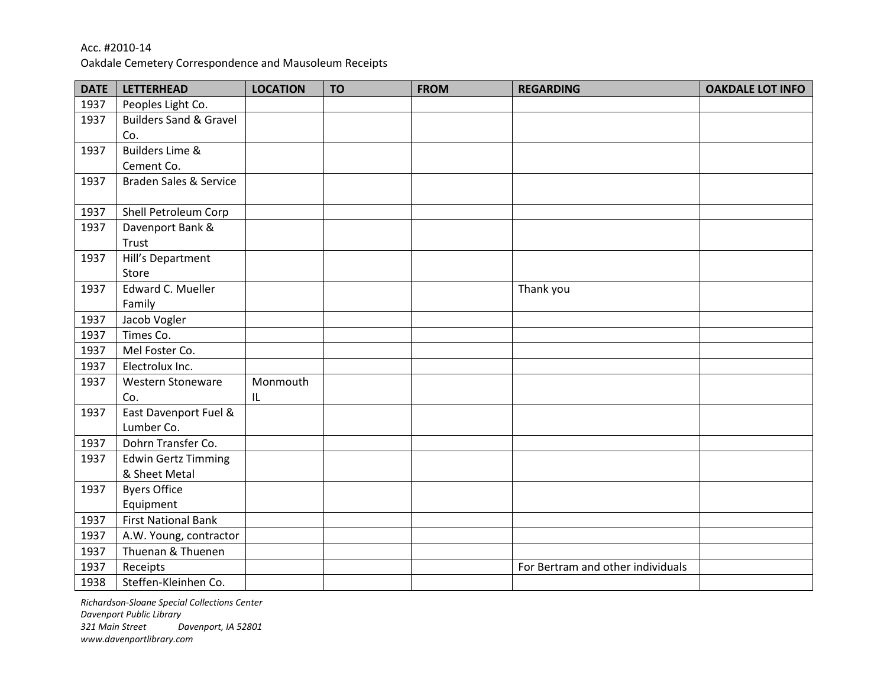Oakdale Cemetery Correspondence and Mausoleum Receipts

| <b>DATE</b> | <b>LETTERHEAD</b>                 | <b>LOCATION</b> | <b>TO</b> | <b>FROM</b> | <b>REGARDING</b>                  | <b>OAKDALE LOT INFO</b> |
|-------------|-----------------------------------|-----------------|-----------|-------------|-----------------------------------|-------------------------|
| 1937        | Peoples Light Co.                 |                 |           |             |                                   |                         |
| 1937        | <b>Builders Sand &amp; Gravel</b> |                 |           |             |                                   |                         |
|             | Co.                               |                 |           |             |                                   |                         |
| 1937        | <b>Builders Lime &amp;</b>        |                 |           |             |                                   |                         |
|             | Cement Co.                        |                 |           |             |                                   |                         |
| 1937        | <b>Braden Sales &amp; Service</b> |                 |           |             |                                   |                         |
|             |                                   |                 |           |             |                                   |                         |
| 1937        | Shell Petroleum Corp              |                 |           |             |                                   |                         |
| 1937        | Davenport Bank &                  |                 |           |             |                                   |                         |
|             | Trust                             |                 |           |             |                                   |                         |
| 1937        | Hill's Department                 |                 |           |             |                                   |                         |
|             | Store                             |                 |           |             |                                   |                         |
| 1937        | Edward C. Mueller                 |                 |           |             | Thank you                         |                         |
|             | Family                            |                 |           |             |                                   |                         |
| 1937        | Jacob Vogler                      |                 |           |             |                                   |                         |
| 1937        | Times Co.                         |                 |           |             |                                   |                         |
| 1937        | Mel Foster Co.                    |                 |           |             |                                   |                         |
| 1937        | Electrolux Inc.                   |                 |           |             |                                   |                         |
| 1937        | Western Stoneware                 | Monmouth        |           |             |                                   |                         |
|             | Co.                               | IL              |           |             |                                   |                         |
| 1937        | East Davenport Fuel &             |                 |           |             |                                   |                         |
|             | Lumber Co.                        |                 |           |             |                                   |                         |
| 1937        | Dohrn Transfer Co.                |                 |           |             |                                   |                         |
| 1937        | <b>Edwin Gertz Timming</b>        |                 |           |             |                                   |                         |
|             | & Sheet Metal                     |                 |           |             |                                   |                         |
| 1937        | <b>Byers Office</b>               |                 |           |             |                                   |                         |
|             | Equipment                         |                 |           |             |                                   |                         |
| 1937        | <b>First National Bank</b>        |                 |           |             |                                   |                         |
| 1937        | A.W. Young, contractor            |                 |           |             |                                   |                         |
| 1937        | Thuenan & Thuenen                 |                 |           |             |                                   |                         |
| 1937        | Receipts                          |                 |           |             | For Bertram and other individuals |                         |
| 1938        | Steffen-Kleinhen Co.              |                 |           |             |                                   |                         |